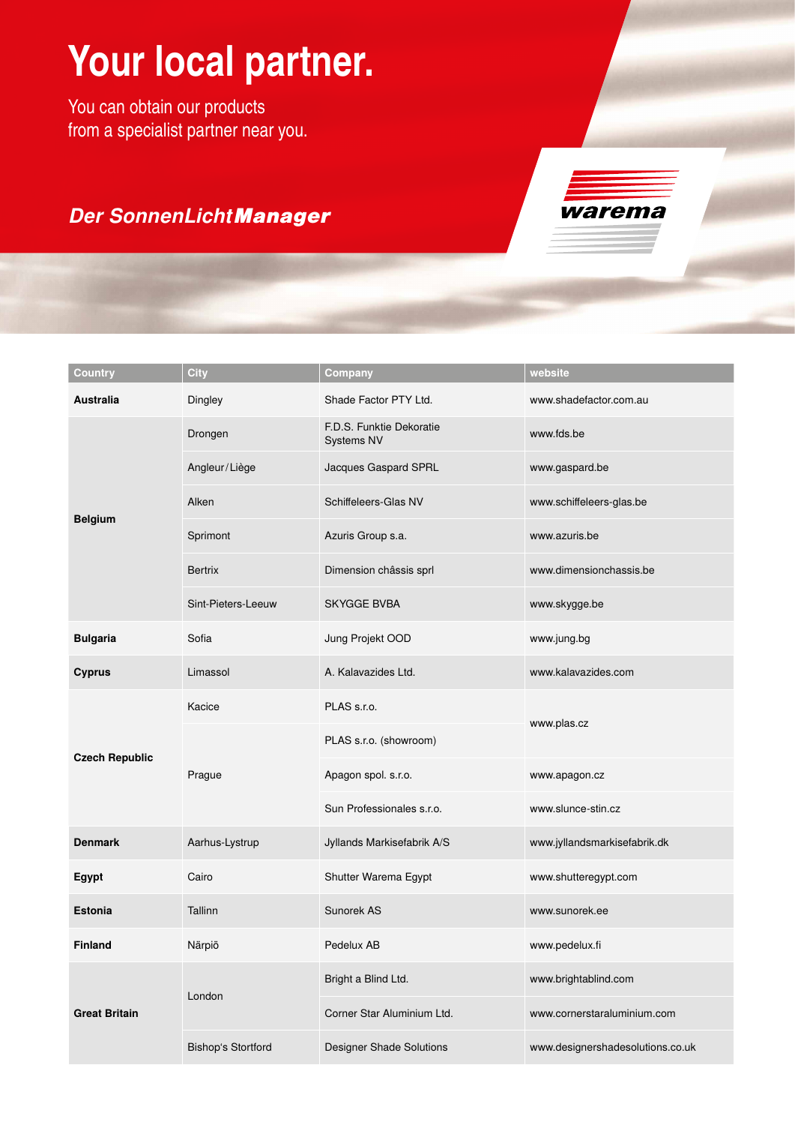## **Your local partner.**

You can obtain our products from a specialist partner near you.

## *Der SonnenLichtManager*



| Country               | <b>City</b>               | Company                                       | website                          |
|-----------------------|---------------------------|-----------------------------------------------|----------------------------------|
| <b>Australia</b>      | Dingley                   | Shade Factor PTY Ltd.                         | www.shadefactor.com.au           |
| <b>Belgium</b>        | Drongen                   | F.D.S. Funktie Dekoratie<br><b>Systems NV</b> | www.fds.be                       |
|                       | Angleur/Liège             | Jacques Gaspard SPRL                          | www.gaspard.be                   |
|                       | Alken                     | Schiffeleers-Glas NV                          | www.schiffeleers-glas.be         |
|                       | Sprimont                  | Azuris Group s.a.                             | www.azuris.be                    |
|                       | <b>Bertrix</b>            | Dimension châssis sprl                        | www.dimensionchassis.be          |
|                       | Sint-Pieters-Leeuw        | <b>SKYGGE BVBA</b>                            | www.skygge.be                    |
| <b>Bulgaria</b>       | Sofia                     | Jung Projekt OOD                              | www.jung.bg                      |
| <b>Cyprus</b>         | Limassol                  | A. Kalavazides Ltd.                           | www.kalavazides.com              |
| <b>Czech Republic</b> | Kacice                    | PLAS s.r.o.                                   |                                  |
|                       | Prague                    | PLAS s.r.o. (showroom)                        | www.plas.cz                      |
|                       |                           | Apagon spol. s.r.o.                           | www.apagon.cz                    |
|                       |                           | Sun Professionales s.r.o.                     | www.slunce-stin.cz               |
| <b>Denmark</b>        | Aarhus-Lystrup            | Jyllands Markisefabrik A/S                    | www.jyllandsmarkisefabrik.dk     |
| <b>Egypt</b>          | Cairo                     | Shutter Warema Egypt                          | www.shutteregypt.com             |
| <b>Estonia</b>        | Tallinn                   | Sunorek AS                                    | www.sunorek.ee                   |
| <b>Finland</b>        | Närpiö                    | Pedelux AB                                    | www.pedelux.fi                   |
| <b>Great Britain</b>  | London                    | Bright a Blind Ltd.                           | www.brightablind.com             |
|                       |                           | Corner Star Aluminium Ltd.                    | www.cornerstaraluminium.com      |
|                       | <b>Bishop's Stortford</b> | <b>Designer Shade Solutions</b>               | www.designershadesolutions.co.uk |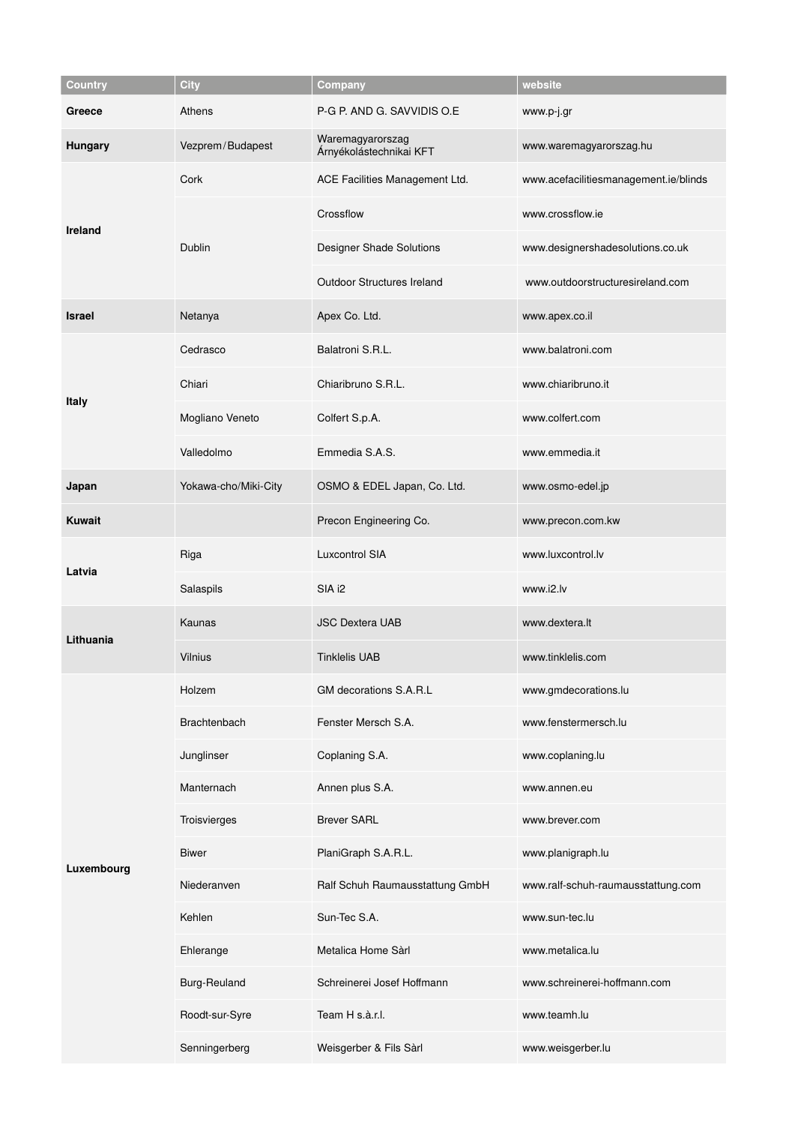| Country        | <b>City</b>          | Company                                     | website                               |
|----------------|----------------------|---------------------------------------------|---------------------------------------|
| Greece         | Athens               | P-G P. AND G. SAVVIDIS O.E                  | www.p-j.gr                            |
| <b>Hungary</b> | Vezprem/Budapest     | Waremagyarorszag<br>Árnyékolástechnikai KFT | www.waremagyarorszag.hu               |
| Ireland        | Cork                 | ACE Facilities Management Ltd.              | www.acefacilitiesmanagement.ie/blinds |
|                | <b>Dublin</b>        | Crossflow                                   | www.crossflow.ie                      |
|                |                      | Designer Shade Solutions                    | www.designershadesolutions.co.uk      |
|                |                      | <b>Outdoor Structures Ireland</b>           | www.outdoorstructuresireland.com      |
| <b>Israel</b>  | Netanya              | Apex Co. Ltd.                               | www.apex.co.il                        |
|                | Cedrasco             | Balatroni S.R.L.                            | www.balatroni.com                     |
| <b>Italy</b>   | Chiari               | Chiaribruno S.R.L.                          | www.chiaribruno.it                    |
|                | Mogliano Veneto      | Colfert S.p.A.                              | www.colfert.com                       |
|                | Valledolmo           | Emmedia S.A.S.                              | www.emmedia.it                        |
| Japan          | Yokawa-cho/Miki-City | OSMO & EDEL Japan, Co. Ltd.                 | www.osmo-edel.jp                      |
| <b>Kuwait</b>  |                      | Precon Engineering Co.                      | www.precon.com.kw                     |
| Latvia         | Riga                 | <b>Luxcontrol SIA</b>                       | www.luxcontrol.lv                     |
|                | Salaspils            | SIA i2                                      | www.i2.lv                             |
| Lithuania      | Kaunas               | <b>JSC Dextera UAB</b>                      | www.dextera.lt                        |
|                | <b>Vilnius</b>       | <b>Tinklelis UAB</b>                        | www.tinklelis.com                     |
|                | Holzem               | GM decorations S.A.R.L                      | www.gmdecorations.lu                  |
|                | Brachtenbach         | Fenster Mersch S.A.                         | www.fenstermersch.lu                  |
|                | Junglinser           | Coplaning S.A.                              | www.coplaning.lu                      |
|                | Manternach           | Annen plus S.A.                             | www.annen.eu                          |
| Luxembourg     | Troisvierges         | <b>Brever SARL</b>                          | www.brever.com                        |
|                | <b>Biwer</b>         | PlaniGraph S.A.R.L.                         | www.planigraph.lu                     |
|                | Niederanven          | Ralf Schuh Raumausstattung GmbH             | www.ralf-schuh-raumausstattung.com    |
|                | Kehlen               | Sun-Tec S.A.                                | www.sun-tec.lu                        |
|                | Ehlerange            | Metalica Home Sàrl                          | www.metalica.lu                       |
|                | <b>Burg-Reuland</b>  | Schreinerei Josef Hoffmann                  | www.schreinerei-hoffmann.com          |
|                | Roodt-sur-Syre       | Team H s.à.r.l.                             | www.teamh.lu                          |
|                | Senningerberg        | Weisgerber & Fils Sàrl                      | www.weisgerber.lu                     |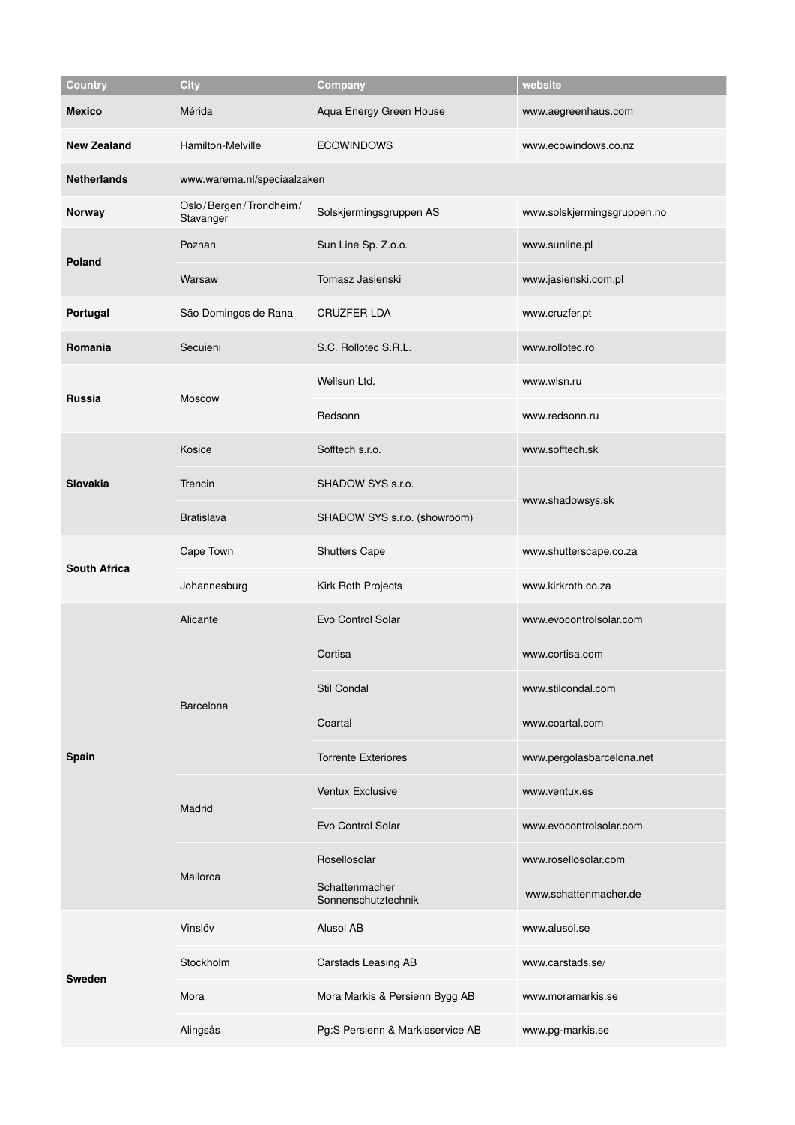| <b>Country</b>      | <b>City</b>                         | Company                               | website                     |  |
|---------------------|-------------------------------------|---------------------------------------|-----------------------------|--|
| <b>Mexico</b>       | Mérida                              | Aqua Energy Green House               | www.aegreenhaus.com         |  |
| <b>New Zealand</b>  | Hamilton-Melville                   | <b>ECOWINDOWS</b>                     | www.ecowindows.co.nz        |  |
| <b>Netherlands</b>  | www.warema.nl/speciaalzaken         |                                       |                             |  |
| Norway              | Oslo/Bergen/Trondheim/<br>Stavanger | Solskjermingsgruppen AS               | www.solskjermingsgruppen.no |  |
| <b>Poland</b>       | Poznan                              | Sun Line Sp. Z.o.o.                   | www.sunline.pl              |  |
|                     | Warsaw                              | Tomasz Jasienski                      | www.jasienski.com.pl        |  |
| Portugal            | São Domingos de Rana                | <b>CRUZFER LDA</b>                    | www.cruzfer.pt              |  |
| Romania             | Secuieni                            | S.C. Rollotec S.R.L.                  | www.rollotec.ro             |  |
| <b>Russia</b>       | Moscow                              | Wellsun Ltd.                          | www.wlsn.ru                 |  |
|                     |                                     | Redsonn                               | www.redsonn.ru              |  |
| <b>Slovakia</b>     | Kosice                              | Sofftech s.r.o.                       | www.sofftech.sk             |  |
|                     | Trencin                             | SHADOW SYS s.r.o.                     | www.shadowsys.sk            |  |
|                     | <b>Bratislava</b>                   | SHADOW SYS s.r.o. (showroom)          |                             |  |
| <b>South Africa</b> | Cape Town                           | <b>Shutters Cape</b>                  | www.shutterscape.co.za      |  |
|                     | Johannesburg                        | Kirk Roth Projects                    | www.kirkroth.co.za          |  |
|                     | Alicante                            | Evo Control Solar                     | www.evocontrolsolar.com     |  |
|                     | <b>Barcelona</b>                    | Cortisa                               | www.cortisa.com             |  |
|                     |                                     | Stil Condal                           | www.stilcondal.com          |  |
|                     |                                     | Coartal                               | www.coartal.com             |  |
| Spain               |                                     | <b>Torrente Exteriores</b>            | www.pergolasbarcelona.net   |  |
|                     | Madrid                              | Ventux Exclusive                      | www.ventux.es               |  |
|                     |                                     | Evo Control Solar                     | www.evocontrolsolar.com     |  |
|                     | Mallorca                            | Rosellosolar                          | www.rosellosolar.com        |  |
|                     |                                     | Schattenmacher<br>Sonnenschutztechnik | www.schattenmacher.de       |  |
| <b>Sweden</b>       | Vinslöv                             | Alusol AB                             | www.alusol.se               |  |
|                     | Stockholm                           | Carstads Leasing AB                   | www.carstads.se/            |  |
|                     | Mora                                | Mora Markis & Persienn Bygg AB        | www.moramarkis.se           |  |
|                     | Alingsås                            | Pg:S Persienn & Markisservice AB      | www.pg-markis.se            |  |